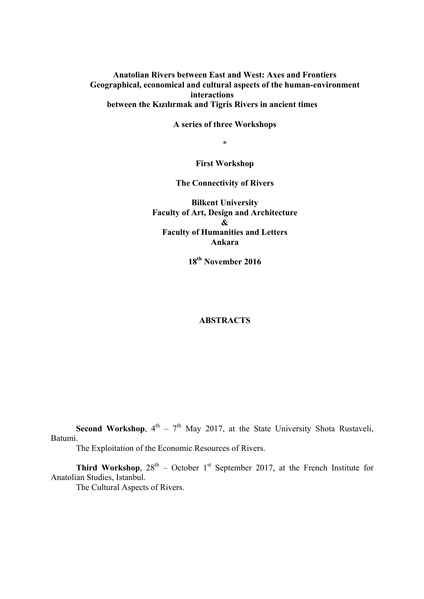**Anatolian Rivers between East and West: Axes and Frontiers Geographical, economical and cultural aspects of the human-environment interactions between the Kızılırmak and Tigris Rivers in ancient times**

**A series of three Workshops**

**\***

**First Workshop**

**The Connectivity of Rivers**

**Bilkent University Faculty of Art, Design and Architecture & Faculty of Humanities and Letters Ankara**

**18th November 2016**

### **ABSTRACTS**

**Second Workshop**,  $4^{th}$  –  $7^{th}$  May 2017, at the State University Shota Rustaveli, Batumi.

The Exploitation of the Economic Resources of Rivers.

**Third Workshop**,  $28^{th}$  – October 1<sup>st</sup> September 2017, at the French Institute for Anatolian Studies, Istanbul.

The Cultural Aspects of Rivers.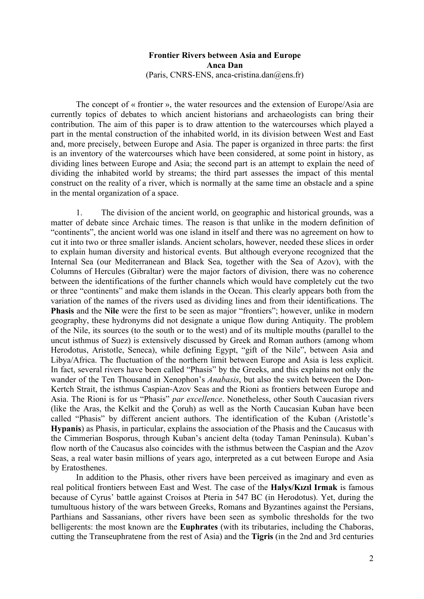#### **Frontier Rivers between Asia and Europe Anca Dan** (Paris, CNRS-ENS, anca-cristina.dan $(\partial \text{ens.fr})$

The concept of « frontier », the water resources and the extension of Europe/Asia are currently topics of debates to which ancient historians and archaeologists can bring their contribution. The aim of this paper is to draw attention to the watercourses which played a part in the mental construction of the inhabited world, in its division between West and East and, more precisely, between Europe and Asia. The paper is organized in three parts: the first is an inventory of the watercourses which have been considered, at some point in history, as dividing lines between Europe and Asia; the second part is an attempt to explain the need of dividing the inhabited world by streams; the third part assesses the impact of this mental construct on the reality of a river, which is normally at the same time an obstacle and a spine in the mental organization of a space.

1. The division of the ancient world, on geographic and historical grounds, was a matter of debate since Archaic times. The reason is that unlike in the modern definition of "continents", the ancient world was one island in itself and there was no agreement on how to cut it into two or three smaller islands. Ancient scholars, however, needed these slices in order to explain human diversity and historical events. But although everyone recognized that the Internal Sea (our Mediterranean and Black Sea, together with the Sea of Azov), with the Columns of Hercules (Gibraltar) were the major factors of division, there was no coherence between the identifications of the further channels which would have completely cut the two or three "continents" and make them islands in the Ocean. This clearly appears both from the variation of the names of the rivers used as dividing lines and from their identifications. The **Phasis** and the **Nile** were the first to be seen as major "frontiers"; however, unlike in modern geography, these hydronyms did not designate a unique flow during Antiquity. The problem of the Nile, its sources (to the south or to the west) and of its multiple mouths (parallel to the uncut isthmus of Suez) is extensively discussed by Greek and Roman authors (among whom Herodotus, Aristotle, Seneca), while defining Egypt, "gift of the Nile", between Asia and Libya/Africa. The fluctuation of the northern limit between Europe and Asia is less explicit. In fact, several rivers have been called "Phasis" by the Greeks, and this explains not only the wander of the Ten Thousand in Xenophon's *Anabasis*, but also the switch between the Don-Kertch Strait, the isthmus Caspian-Azov Seas and the Rioni as frontiers between Europe and Asia. The Rioni is for us "Phasis" *par excellence*. Nonetheless, other South Caucasian rivers (like the Aras, the Kelkit and the Çoruh) as well as the North Caucasian Kuban have been called "Phasis" by different ancient authors. The identification of the Kuban (Aristotle's **Hypanis**) as Phasis, in particular, explains the association of the Phasis and the Caucasus with the Cimmerian Bosporus, through Kuban's ancient delta (today Taman Peninsula). Kuban's flow north of the Caucasus also coincides with the isthmus between the Caspian and the Azov Seas, a real water basin millions of years ago, interpreted as a cut between Europe and Asia by Eratosthenes.

In addition to the Phasis, other rivers have been perceived as imaginary and even as real political frontiers between East and West. The case of the **Halys/Kızıl Irmak** is famous because of Cyrus' battle against Croisos at Pteria in 547 BC (in Herodotus). Yet, during the tumultuous history of the wars between Greeks, Romans and Byzantines against the Persians, Parthians and Sassanians, other rivers have been seen as symbolic thresholds for the two belligerents: the most known are the **Euphrates** (with its tributaries, including the Chaboras, cutting the Transeuphratene from the rest of Asia) and the **Tigris** (in the 2nd and 3rd centuries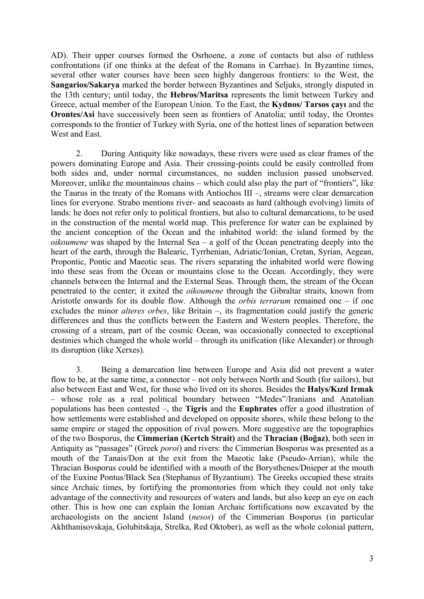AD). Their upper courses formed the Osrhoene, a zone of contacts but also of ruthless confrontations (if one thinks at the defeat of the Romans in Carrhae). In Byzantine times, several other water courses have been seen highly dangerous frontiers: to the West, the **Sangarios/Sakarya** marked the border between Byzantines and Seljuks, strongly disputed in the 13th century; until today, the **Hebros/Maritsa** represents the limit between Turkey and Greece, actual member of the European Union. To the East, the **Kydnos/ Tarsos çayı** and the **Orontes/Asi** have successively been seen as frontiers of Anatolia; until today, the Orontes corresponds to the frontier of Turkey with Syria, one of the hottest lines of separation between West and East.

2. During Antiquity like nowadays, these rivers were used as clear frames of the powers dominating Europe and Asia. Their crossing-points could be easily controlled from both sides and, under normal circumstances, no sudden inclusion passed unobserved. Moreover, unlike the mountainous chains – which could also play the part of "frontiers", like the Taurus in the treaty of the Romans with Antiochos III –, streams were clear demarcation lines for everyone. Strabo mentions river- and seacoasts as hard (although evolving) limits of lands: he does not refer only to political frontiers, but also to cultural demarcations, to be used in the construction of the mental world map. This preference for water can be explained by the ancient conception of the Ocean and the inhabited world: the island formed by the *oikoumene* was shaped by the Internal Sea – a golf of the Ocean penetrating deeply into the heart of the earth, through the Balearic, Tyrrhenian, Adriatic/Ionian, Cretan, Syrian, Aegean, Propontic, Pontic and Maeotic seas. The rivers separating the inhabited world were flowing into these seas from the Ocean or mountains close to the Ocean. Accordingly, they were channels between the Internal and the External Seas. Through them, the stream of the Ocean penetrated to the center; it exited the *oikoumene* through the Gibraltar straits, known from Aristotle onwards for its double flow. Although the *orbis terrarum* remained one – if one excludes the minor *alteres orbes*, like Britain –, its fragmentation could justify the generic differences and thus the conflicts between the Eastern and Western peoples. Therefore, the crossing of a stream, part of the cosmic Ocean, was occasionally connected to exceptional destinies which changed the whole world – through its unification (like Alexander) or through its disruption (like Xerxes).

3. Being a demarcation line between Europe and Asia did not prevent a water flow to be, at the same time, a connector – not only between North and South (for sailors), but also between East and West, for those who lived on its shores. Besides the **Halys/Kızıl Irmak** – whose role as a real political boundary between "Medes"/Iranians and Anatolian populations has been contested –, the **Tigris** and the **Euphrates** offer a good illustration of how settlements were established and developed on opposite shores, while these belong to the same empire or staged the opposition of rival powers. More suggestive are the topographies of the two Bosporus, the **Cimmerian (Kertch Strait)** and the **Thracian (Boğaz)**, both seen in Antiquity as "passages" (Greek *poroi*) and rivers: the Cimmerian Bosporus was presented as a mouth of the Tanais/Don at the exit from the Maeotic lake (Pseudo-Arrian), while the Thracian Bosporus could be identified with a mouth of the Borysthenes/Dnieper at the mouth of the Euxine Pontus/Black Sea (Stephanus of Byzantium). The Greeks occupied these straits since Archaic times, by fortifying the promontories from which they could not only take advantage of the connectivity and resources of waters and lands, but also keep an eye on each other. This is how one can explain the Ionian Archaic fortifications now excavated by the archaeologists on the ancient Island (*nesos*) of the Cimmerian Bosporus (in particular Akhthanisovskaja, Golubitskaja, Strelka, Red Oktober), as well as the whole colonial pattern,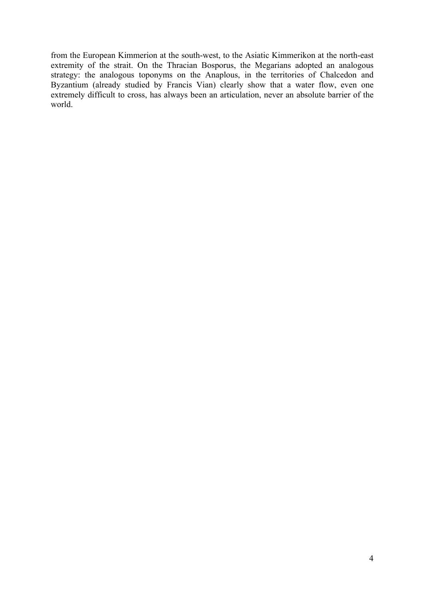from the European Kimmerion at the south-west, to the Asiatic Kimmerikon at the north-east extremity of the strait. On the Thracian Bosporus, the Megarians adopted an analogous strategy: the analogous toponyms on the Anaplous, in the territories of Chalcedon and Byzantium (already studied by Francis Vian) clearly show that a water flow, even one extremely difficult to cross, has always been an articulation, never an absolute barrier of the world.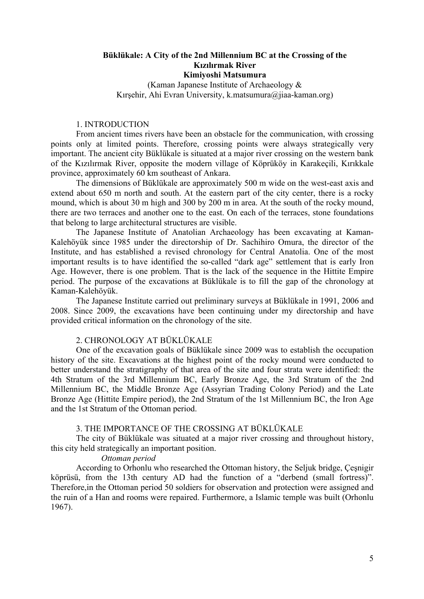# **Büklükale: A City of the 2nd Millennium BC at the Crossing of the Kızılırmak River Kimiyoshi Matsumura**

(Kaman Japanese Institute of Archaeology & Kırşehir, Ahi Evran University, k.matsumura@jiaa-kaman.org)

# 1. INTRODUCTION

From ancient times rivers have been an obstacle for the communication, with crossing points only at limited points. Therefore, crossing points were always strategically very important. The ancient city Büklükale is situated at a major river crossing on the western bank of the Kızılırmak River, opposite the modern village of Köprüköy in Karakeçili, Kırıkkale province, approximately 60 km southeast of Ankara.

The dimensions of Büklükale are approximately 500 m wide on the west-east axis and extend about 650 m north and south. At the eastern part of the city center, there is a rocky mound, which is about 30 m high and 300 by 200 m in area. At the south of the rocky mound, there are two terraces and another one to the east. On each of the terraces, stone foundations that belong to large architectural structures are visible.

The Japanese Institute of Anatolian Archaeology has been excavating at Kaman-Kalehöyük since 1985 under the directorship of Dr. Sachihiro Omura, the director of the Institute, and has established a revised chronology for Central Anatolia. One of the most important results is to have identified the so-called "dark age" settlement that is early Iron Age. However, there is one problem. That is the lack of the sequence in the Hittite Empire period. The purpose of the excavations at Büklükale is to fill the gap of the chronology at Kaman-Kalehöyük.

The Japanese Institute carried out preliminary surveys at Büklükale in 1991, 2006 and 2008. Since 2009, the excavations have been continuing under my directorship and have provided critical information on the chronology of the site.

#### 2. CHRONOLOGY AT BÜKLÜKALE

One of the excavation goals of Büklükale since 2009 was to establish the occupation history of the site. Excavations at the highest point of the rocky mound were conducted to better understand the stratigraphy of that area of the site and four strata were identified: the 4th Stratum of the 3rd Millennium BC, Early Bronze Age, the 3rd Stratum of the 2nd Millennium BC, the Middle Bronze Age (Assyrian Trading Colony Period) and the Late Bronze Age (Hittite Empire period), the 2nd Stratum of the 1st Millennium BC, the Iron Age and the 1st Stratum of the Ottoman period.

#### 3. THE IMPORTANCE OF THE CROSSING AT BÜKLÜKALE

The city of Büklükale was situated at a major river crossing and throughout history, this city held strategically an important position.

# *Ottoman period*

According to Orhonlu who researched the Ottoman history, the Seljuk bridge, Çeşnigir köprüsü, from the 13th century AD had the function of a "derbend (small fortress)". Therefore,in the Ottoman period 50 soldiers for observation and protection were assigned and the ruin of a Han and rooms were repaired. Furthermore, a Islamic temple was built (Orhonlu 1967).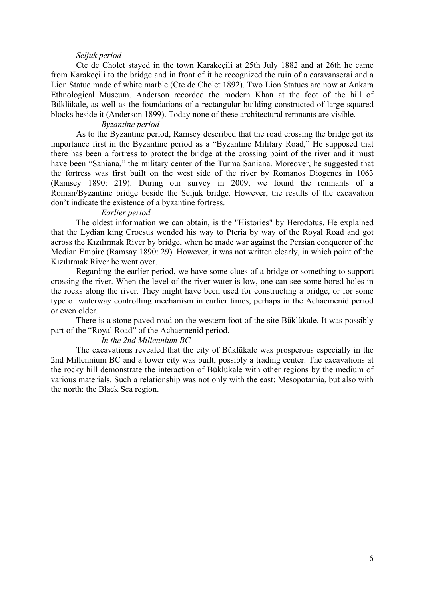#### *Seljuk period*

Cte de Cholet stayed in the town Karakeçili at 25th July 1882 and at 26th he came from Karakeçili to the bridge and in front of it he recognized the ruin of a caravanserai and a Lion Statue made of white marble (Cte de Cholet 1892). Two Lion Statues are now at Ankara Ethnological Museum. Anderson recorded the modern Khan at the foot of the hill of Büklükale, as well as the foundations of a rectangular building constructed of large squared blocks beside it (Anderson 1899). Today none of these architectural remnants are visible.

#### *Byzantine period*

As to the Byzantine period, Ramsey described that the road crossing the bridge got its importance first in the Byzantine period as a "Byzantine Military Road," He supposed that there has been a fortress to protect the bridge at the crossing point of the river and it must have been "Saniana," the military center of the Turma Saniana. Moreover, he suggested that the fortress was first built on the west side of the river by Romanos Diogenes in 1063 (Ramsey 1890: 219). During our survey in 2009, we found the remnants of a Roman/Byzantine bridge beside the Seljuk bridge. However, the results of the excavation don't indicate the existence of a byzantine fortress.

#### *Earlier period*

The oldest information we can obtain, is the "Histories" by Herodotus. He explained that the Lydian king Croesus wended his way to Pteria by way of the Royal Road and got across the Kızılırmak River by bridge, when he made war against the Persian conqueror of the Median Empire (Ramsay 1890: 29). However, it was not written clearly, in which point of the Kızılırmak River he went over.

Regarding the earlier period, we have some clues of a bridge or something to support crossing the river. When the level of the river water is low, one can see some bored holes in the rocks along the river. They might have been used for constructing a bridge, or for some type of waterway controlling mechanism in earlier times, perhaps in the Achaemenid period or even older.

There is a stone paved road on the western foot of the site Büklükale. It was possibly part of the "Royal Road" of the Achaemenid period.

#### *In the 2nd Millennium BC*

The excavations revealed that the city of Büklükale was prosperous especially in the 2nd Millennium BC and a lower city was built, possibly a trading center. The excavations at the rocky hill demonstrate the interaction of Büklükale with other regions by the medium of various materials. Such a relationship was not only with the east: Mesopotamia, but also with the north: the Black Sea region.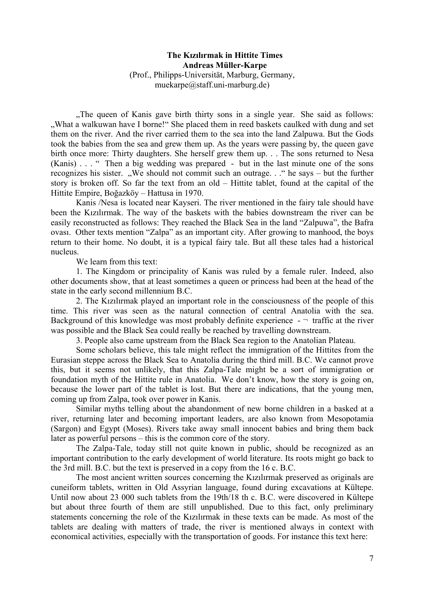# **The Kızılırmak in Hittite Times Andreas Müller-Karpe** (Prof., Philipps-Universität, Marburg, Germany, muekarpe@staff.uni-marburg.de)

"The queen of Kanis gave birth thirty sons in a single year. She said as follows: "What a walkuwan have I borne!" She placed them in reed baskets caulked with dung and set them on the river. And the river carried them to the sea into the land Zalpuwa. But the Gods took the babies from the sea and grew them up. As the years were passing by, the queen gave birth once more: Thirty daughters. She herself grew them up. . . The sons returned to Nesa (Kanis) . . . " Then a big wedding was prepared - but in the last minute one of the sons recognizes his sister. "We should not commit such an outrage.  $\therefore$ " he says – but the further story is broken off. So far the text from an old – Hittite tablet, found at the capital of the Hittite Empire, Boğazköy – Hattusa in 1970.

Kanis /Nesa is located near Kayseri. The river mentioned in the fairy tale should have been the Kızılırmak. The way of the baskets with the babies downstream the river can be easily reconstructed as follows: They reached the Black Sea in the land "Zalpuwa", the Bafra ovası. Other texts mention "Zalpa" as an important city. After growing to manhood, the boys return to their home. No doubt, it is a typical fairy tale. But all these tales had a historical nucleus.

We learn from this text:

1. The Kingdom or principality of Kanis was ruled by a female ruler. Indeed, also other documents show, that at least sometimes a queen or princess had been at the head of the state in the early second millennium B.C.

2. The Kızılırmak played an important role in the consciousness of the people of this time. This river was seen as the natural connection of central Anatolia with the sea. Background of this knowledge was most probably definite experience  $-$  traffic at the river was possible and the Black Sea could really be reached by travelling downstream.

3. People also came upstream from the Black Sea region to the Anatolian Plateau.

Some scholars believe, this tale might reflect the immigration of the Hittites from the Eurasian steppe across the Black Sea to Anatolia during the third mill. B.C. We cannot prove this, but it seems not unlikely, that this Zalpa-Tale might be a sort of immigration or foundation myth of the Hittite rule in Anatolia. We don't know, how the story is going on, because the lower part of the tablet is lost. But there are indications, that the young men, coming up from Zalpa, took over power in Kanis.

Similar myths telling about the abandonment of new borne children in a basked at a river, returning later and becoming important leaders, are also known from Mesopotamia (Sargon) and Egypt (Moses). Rivers take away small innocent babies and bring them back later as powerful persons – this is the common core of the story.

The Zalpa-Tale, today still not quite known in public, should be recognized as an important contribution to the early development of world literature. Its roots might go back to the 3rd mill. B.C. but the text is preserved in a copy from the 16 c. B.C.

The most ancient written sources concerning the Kızılırmak preserved as originals are cuneiform tablets, written in Old Assyrian language, found during excavations at Kültepe. Until now about 23 000 such tablets from the 19th/18 th c. B.C. were discovered in Kültepe but about three fourth of them are still unpublished. Due to this fact, only preliminary statements concerning the role of the Kızılırmak in these texts can be made. As most of the tablets are dealing with matters of trade, the river is mentioned always in context with economical activities, especially with the transportation of goods. For instance this text here: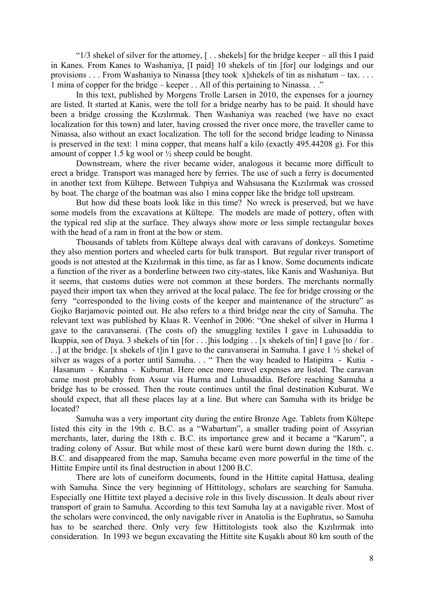" $1/3$  shekel of silver for the attorney,  $\lceil \cdot \cdot \cdot \rceil$  . shekels for the bridge keeper – all this I paid in Kanes. From Kanes to Washaniya, [I paid] 10 shekels of tin [for] our lodgings and our provisions . . . From Washaniya to Ninassa [they took x]shekels of tin as nishatum – tax. . . . 1 mina of copper for the bridge – keeper . . All of this pertaining to Ninassa. . ."

In this text, published by Morgens Trolle Larsen in 2010, the expenses for a journey are listed. It started at Kanis, were the toll for a bridge nearby has to be paid. It should have been a bridge crossing the Kızılırmak. Then Washaniya was reached (we have no exact localization for this town) and later, having crossed the river once more, the traveller came to Ninassa, also without an exact localization. The toll for the second bridge leading to Ninassa is preserved in the text: 1 mina copper, that means half a kilo (exactly 495.44208 g). For this amount of copper 1.5 kg wool or  $\frac{1}{2}$  sheep could be bought.

Downstream, where the river became wider, analogous it became more difficult to erect a bridge. Transport was managed here by ferries. The use of such a ferry is documented in another text from Kültepe. Between Tuhpiya and Wahsusana the Kızılırmak was crossed by boat. The charge of the boatman was also 1 mina copper like the bridge toll upstream.

But how did these boats look like in this time? No wreck is preserved, but we have some models from the excavations at Kültepe. The models are made of pottery, often with the typical red slip at the surface. They always show more or less simple rectangular boxes with the head of a ram in front at the bow or stem.

Thousands of tablets from Kültepe always deal with caravans of donkeys. Sometime they also mention porters and wheeled carts for bulk transport. But regular river transport of goods is not attested at the Kızılırmak in this time, as far as I know. Some documents indicate a function of the river as a borderline between two city-states, like Kanis and Washaniya. But it seems, that customs duties were not common at these borders. The merchants normally payed their import tax when they arrived at the local palace. The fee for bridge crossing or the ferry "corresponded to the living costs of the keeper and maintenance of the structure" as Gojko Barjamovic pointed out. He also refers to a third bridge near the city of Samuha. The relevant text was published by Klaas R. Veenhof in 2006: "One shekel of silver in Hurma I gave to the caravanserai. (The costs of) the smuggling textiles I gave in Luhusaddia to Ikuppia, son of Daya. 3 shekels of tin [for . . .]his lodging . . [x shekels of tin] I gave [to / for . . .] at the bridge. [x shekels of t]in I gave to the caravanserai in Samuha. I gave 1 ½ shekel of silver as wages of a porter until Samuha. . . " Then the way headed to Hatipitra - Kutia - Hasanum - Karahna - Kuburnat. Here once more travel expenses are listed. The caravan came most probably from Assur via Hurma and Luhusaddia. Before reaching Samuha a bridge has to be crossed. Then the route continues until the final destination Kuburat. We should expect, that all these places lay at a line. But where can Samuha with its bridge be located?

Samuha was a very important city during the entire Bronze Age. Tablets from Kültepe listed this city in the 19th c. B.C. as a "Wabartum", a smaller trading point of Assyrian merchants, later, during the 18th c. B.C. its importance grew and it became a "Karum", a trading colony of Assur. But while most of these karū were burnt down during the 18th. c. B.C. and disappeared from the map, Samuha became even more powerful in the time of the Hittite Empire until its final destruction in about 1200 B.C.

There are lots of cuneiform documents, found in the Hittite capital Hattusa, dealing with Samuha. Since the very beginning of Hittitology, scholars are searching for Samuha. Especially one Hittite text played a decisive role in this lively discussion. It deals about river transport of grain to Samuha. According to this text Samuha lay at a navigable river. Most of the scholars were convinced, the only navigable river in Anatolia is the Euphratus, so Samuha has to be searched there. Only very few Hittitologists took also the Kızılırmak into consideration. In 1993 we begun excavating the Hittite site Kuşaklı about 80 km south of the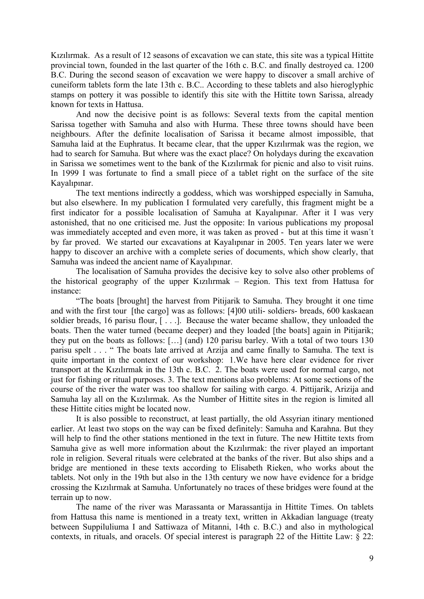Kızılırmak. As a result of 12 seasons of excavation we can state, this site was a typical Hittite provincial town, founded in the last quarter of the 16th c. B.C. and finally destroyed ca. 1200 B.C. During the second season of excavation we were happy to discover a small archive of cuneiform tablets form the late 13th c. B.C.. According to these tablets and also hieroglyphic stamps on pottery it was possible to identify this site with the Hittite town Sarissa, already known for texts in Hattusa.

And now the decisive point is as follows: Several texts from the capital mention Sarissa together with Samuha and also with Hurma. These three towns should have been neighbours. After the definite localisation of Sarissa it became almost impossible, that Samuha laid at the Euphratus. It became clear, that the upper Kızılırmak was the region, we had to search for Samuha. But where was the exact place? On holydays during the excavation in Sarissa we sometimes went to the bank of the Kızılırmak for picnic and also to visit ruins. In 1999 I was fortunate to find a small piece of a tablet right on the surface of the site Kayalıpınar.

The text mentions indirectly a goddess, which was worshipped especially in Samuha, but also elsewhere. In my publication I formulated very carefully, this fragment might be a first indicator for a possible localisation of Samuha at Kayalıpınar. After it I was very astonished, that no one criticised me. Just the opposite: In various publications my proposal was immediately accepted and even more, it was taken as proved - but at this time it wasn´t by far proved. We started our excavations at Kayalıpınar in 2005. Ten years later we were happy to discover an archive with a complete series of documents, which show clearly, that Samuha was indeed the ancient name of Kayalıpınar.

The localisation of Samuha provides the decisive key to solve also other problems of the historical geography of the upper Kızılırmak – Region. This text from Hattusa for instance:

"The boats [brought] the harvest from Pitijarik to Samuha. They brought it one time and with the first tour [the cargo] was as follows: [4]00 utili- soldiers- breads, 600 kaskaean soldier breads, 16 parisu flour, [...]. Because the water became shallow, they unloaded the boats. Then the water turned (became deeper) and they loaded [the boats] again in Pitijarik; they put on the boats as follows: […] (and) 120 parisu barley. With a total of two tours 130 parisu spelt . . . " The boats late arrived at Arzija and came finally to Samuha. The text is quite important in the context of our workshop: 1.We have here clear evidence for river transport at the Kızılırmak in the 13th c. B.C. 2. The boats were used for normal cargo, not just for fishing or ritual purposes. 3. The text mentions also problems: At some sections of the course of the river the water was too shallow for sailing with cargo. 4. Pittijarik, Arizija and Samuha lay all on the Kızılırmak. As the Number of Hittite sites in the region is limited all these Hittite cities might be located now.

It is also possible to reconstruct, at least partially, the old Assyrian itinary mentioned earlier. At least two stops on the way can be fixed definitely: Samuha and Karahna. But they will help to find the other stations mentioned in the text in future. The new Hittite texts from Samuha give as well more information about the Kızılırmak: the river played an important role in religion. Several rituals were celebrated at the banks of the river. But also ships and a bridge are mentioned in these texts according to Elisabeth Rieken, who works about the tablets. Not only in the 19th but also in the 13th century we now have evidence for a bridge crossing the Kızılırmak at Samuha. Unfortunately no traces of these bridges were found at the terrain up to now.

The name of the river was Marassanta or Marassantija in Hittite Times. On tablets from Hattusa this name is mentioned in a treaty text, written in Akkadian language (treaty between Suppiluliuma I and Sattiwaza of Mitanni, 14th c. B.C.) and also in mythological contexts, in rituals, and oracels. Of special interest is paragraph 22 of the Hittite Law: § 22: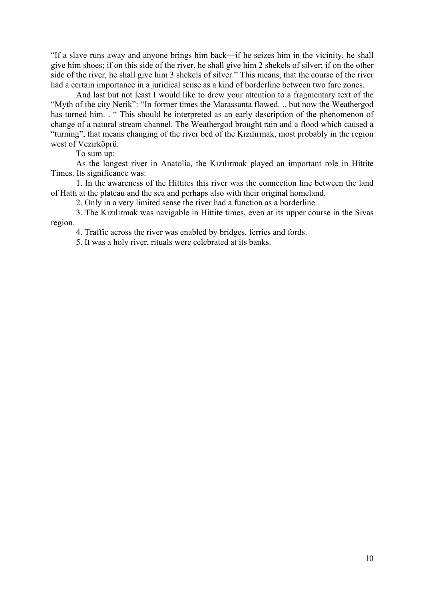"If a slave runs away and anyone brings him back—if he seizes him in the vicinity, he shall give him shoes; if on this side of the river, he shall give him 2 shekels of silver; if on the other side of the river, he shall give him 3 shekels of silver." This means, that the course of the river had a certain importance in a juridical sense as a kind of borderline between two fare zones.

And last but not least I would like to drew your attention to a fragmentary text of the "Myth of the city Nerik": "In former times the Marassanta flowed. .. but now the Weathergod has turned him. . " This should be interpreted as an early description of the phenomenon of change of a natural stream channel. The Weathergod brought rain and a flood which caused a "turning", that means changing of the river bed of the Kızılırmak, most probably in the region west of Vezirköprü.

To sum up:

As the longest river in Anatolia, the Kızılırmak played an important role in Hittite Times. Its significance was:

1. In the awareness of the Hittites this river was the connection line between the land of Hatti at the plateau and the sea and perhaps also with their original homeland.

2. Only in a very limited sense the river had a function as a borderline.

3. The Kızılırmak was navigable in Hittite times, even at its upper course in the Sivas region.

4. Traffic across the river was enabled by bridges, ferries and fords.

5. It was a holy river, rituals were celebrated at its banks.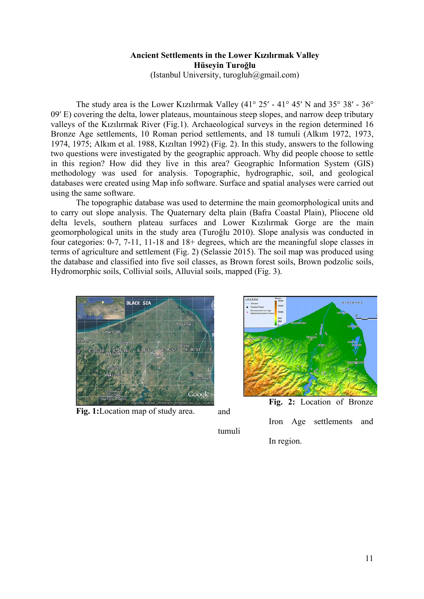# **Ancient Settlements in the Lower Kızılırmak Valley Hüseyin Turoğlu**

(Istanbul University, turogluh@gmail.com)

The study area is the Lower Kızılırmak Valley (41 $^{\circ}$  25' - 41 $^{\circ}$  45' N and 35 $^{\circ}$  38' - 36 $^{\circ}$ 09′ E) covering the delta, lower plateaus, mountainous steep slopes, and narrow deep tributary valleys of the Kızılırmak River (Fig.1). Archaeological surveys in the region determined 16 Bronze Age settlements, 10 Roman period settlements, and 18 tumuli (Alkım 1972, 1973, 1974, 1975; Alkım et al. 1988, Kızıltan 1992) (Fig. 2). In this study, answers to the following two questions were investigated by the geographic approach. Why did people choose to settle in this region? How did they live in this area? Geographic Information System (GIS) methodology was used for analysis. Topographic, hydrographic, soil, and geological databases were created using Map info software. Surface and spatial analyses were carried out using the same software.

The topographic database was used to determine the main geomorphological units and to carry out slope analysis. The Quaternary delta plain (Bafra Coastal Plain), Pliocene old delta levels, southern plateau surfaces and Lower Kızılırmak Gorge are the main geomorphological units in the study area (Turoğlu 2010). Slope analysis was conducted in four categories: 0-7, 7-11, 11-18 and 18+ degrees, which are the meaningful slope classes in terms of agriculture and settlement (Fig. 2) (Selassie 2015). The soil map was produced using the database and classified into five soil classes, as Brown forest soils, Brown podzolic soils, Hydromorphic soils, Collivial soils, Alluvial soils, mapped (Fig. 3).



**Fig. 1:**Location map of study area.



and

tumuli

 Iron Age settlements and In region.

11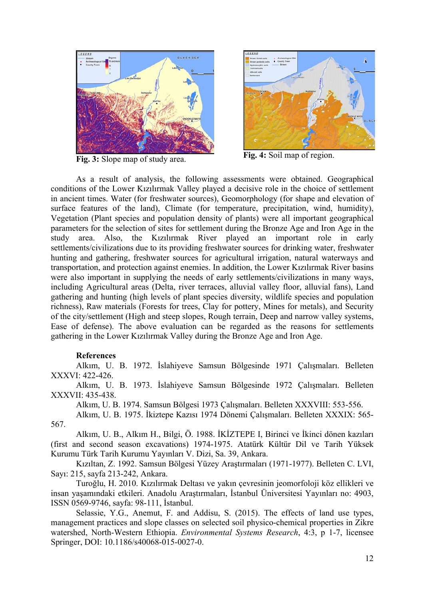

**Fig. 3:** Slope map of study area. **Fig. 4:** Soil map of region.



As a result of analysis, the following assessments were obtained. Geographical conditions of the Lower Kızılırmak Valley played a decisive role in the choice of settlement in ancient times. Water (for freshwater sources), Geomorphology (for shape and elevation of surface features of the land), Climate (for temperature, precipitation, wind, humidity), Vegetation (Plant species and population density of plants) were all important geographical parameters for the selection of sites for settlement during the Bronze Age and Iron Age in the study area. Also, the Kızılırmak River played an important role in early settlements/civilizations due to its providing freshwater sources for drinking water, freshwater hunting and gathering, freshwater sources for agricultural irrigation, natural waterways and transportation, and protection against enemies. In addition, the Lower Kızılırmak River basins were also important in supplying the needs of early settlements/civilizations in many ways, including Agricultural areas (Delta, river terraces, alluvial valley floor, alluvial fans), Land gathering and hunting (high levels of plant species diversity, wildlife species and population richness), Raw materials (Forests for trees, Clay for pottery, Mines for metals), and Security of the city/settlement (High and steep slopes, Rough terrain, Deep and narrow valley systems, Ease of defense). The above evaluation can be regarded as the reasons for settlements gathering in the Lower Kızılırmak Valley during the Bronze Age and Iron Age.

# **References**

Alkım, U. B. 1972. İslahiyeve Samsun Bölgesinde 1971 Çalışmaları. Belleten XXXVI: 422-426.

Alkım, U. B. 1973. İslahiyeve Samsun Bölgesinde 1972 Çalışmaları. Belleten XXXVII: 435-438.

Alkım, U. B. 1974. Samsun Bölgesi 1973 Çalışmaları. Belleten XXXVIII: 553-556.

Alkım, U. B. 1975. İkiztepe Kazısı 1974 Dönemi Çalışmaları. Belleten XXXIX: 565- 567.

Alkım, U. B., Alkım H., Bilgi, Ö. 1988. İKİZTEPE I, Birinci ve İkinci dönen kazıları (first and second season excavations) 1974-1975. Atatürk Kültür Dil ve Tarih Yüksek Kurumu Türk Tarih Kurumu Yayınları V. Dizi, Sa. 39, Ankara.

Kızıltan, Z. 1992. Samsun Bölgesi Yüzey Araştırmaları (1971-1977). Belleten C. LVI, Sayı: 215, sayfa 213-242, Ankara.

Turoğlu, H. 2010. Kızılırmak Deltası ve yakın çevresinin jeomorfoloji köz ellikleri ve insan yaşamındaki etkileri. Anadolu Araştırmaları, İstanbul Üniversitesi Yayınları no: 4903, ISSN 0569-9746, sayfa: 98-111, İstanbul.

Selassie, Y.G., Anemut, F. and Addisu, S. (2015). The effects of land use types, management practices and slope classes on selected soil physico-chemical properties in Zikre watershed, North-Western Ethiopia. *Environmental Systems Research*, 4:3, p 1-7, licensee Springer, DOI: 10.1186/s40068-015-0027-0.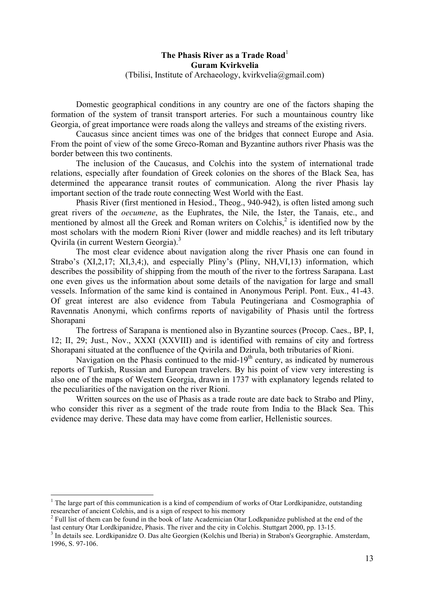# **The Phasis River as a Trade Road**<sup>1</sup> **Guram Kvirkvelia** (Tbilisi, Institute of Archaeology, kvirkvelia@gmail.com)

Domestic geographical conditions in any country are one of the factors shaping the formation of the system of transit transport arteries. For such a mountainous country like Georgia, of great importance were roads along the valleys and streams of the existing rivers.

Caucasus since ancient times was one of the bridges that connect Europe and Asia. From the point of view of the some Greco-Roman and Byzantine authors river Phasis was the border between this two continents.

The inclusion of the Caucasus, and Colchis into the system of international trade relations, especially after foundation of Greek colonies on the shores of the Black Sea, has determined the appearance transit routes of communication. Along the river Phasis lay important section of the trade route connecting West World with the East.

Phasis River (first mentioned in Hesiod., Theog., 940-942), is often listed among such great rivers of the *oecumene*, as the Euphrates, the Nile, the Ister, the Tanais, etc., and mentioned by almost all the Greek and Roman writers on Colchis.<sup>2</sup> is identified now by the most scholars with the modern Rioni River (lower and middle reaches) and its left tributary Qvirila (in current Western Georgia).<sup>3</sup>

The most clear evidence about navigation along the river Phasis one can found in Strabo's (XI,2,17; XI,3,4;), and especially Pliny's (Pliny, NH,VI,13) information, which describes the possibility of shipping from the mouth of the river to the fortress Sarapana. Last one even gives us the information about some details of the navigation for large and small vessels. Information of the same kind is contained in Anonymous Peripl. Pont. Eux., 41-43. Of great interest are also evidence from Tabula Peutingeriana and Cosmographia of Ravennatis Anonymi, which confirms reports of navigability of Phasis until the fortress Shorapani

The fortress of Sarapana is mentioned also in Byzantine sources (Procop. Caes., BP, I, 12; II, 29; Just., Nov., XXXI (XXVIII) and is identified with remains of city and fortress Shorapani situated at the confluence of the Qvirila and Dzirula, both tributaries of Rioni.

Navigation on the Phasis continued to the mid- $19<sup>th</sup>$  century, as indicated by numerous reports of Turkish, Russian and European travelers. By his point of view very interesting is also one of the maps of Western Georgia, drawn in 1737 with explanatory legends related to the peculiarities of the navigation on the river Rioni.

Written sources on the use of Phasis as a trade route are date back to Strabo and Pliny, who consider this river as a segment of the trade route from India to the Black Sea. This evidence may derive. These data may have come from earlier, Hellenistic sources.

 $1$  The large part of this communication is a kind of compendium of works of Otar Lordkipanidze, outstanding researcher of ancient Colchis, and is a sign of respect to his memory

<sup>&</sup>lt;sup>2</sup> Full list of them can be found in the book of late Academician Otar Lodkpanidze published at the end of the last century Otar Lordkipanidze. Phasis. The river and the city in Colchis. Stutteart 2000, pp. 13-15.

 $\frac{3}{3}$  In details see. Lordkipanidze O. Das alte Georgien (Kolchis und Iberia) in Strabon's Georgraphie. Amsterdam, 1996, S. 97-106.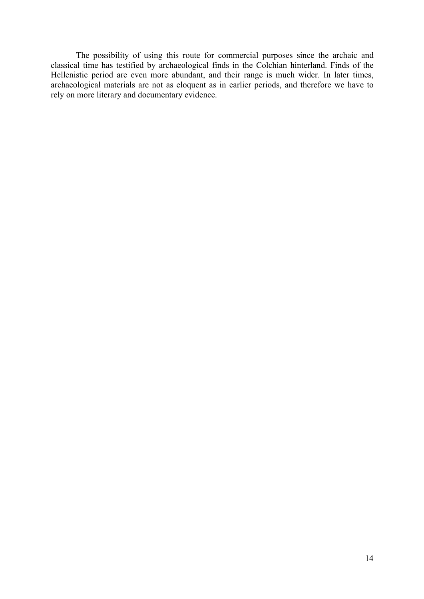The possibility of using this route for commercial purposes since the archaic and classical time has testified by archaeological finds in the Colchian hinterland. Finds of the Hellenistic period are even more abundant, and their range is much wider. In later times, archaeological materials are not as eloquent as in earlier periods, and therefore we have to rely on more literary and documentary evidence.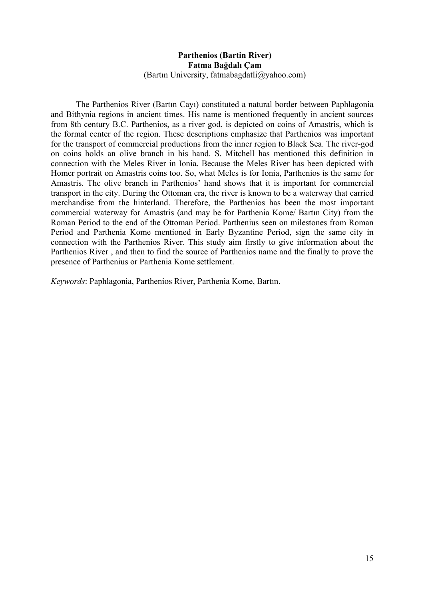# **Parthenios (Bartin River) Fatma Bağdalı Çam** (Bartın University, fatmabagdatli@yahoo.com)

The Parthenios River (Bartın Cayı) constituted a natural border between Paphlagonia and Bithynia regions in ancient times. His name is mentioned frequently in ancient sources from 8th century B.C. Parthenios, as a river god, is depicted on coins of Amastris, which is the formal center of the region. These descriptions emphasize that Parthenios was important for the transport of commercial productions from the inner region to Black Sea. The river-god on coins holds an olive branch in his hand. S. Mitchell has mentioned this definition in connection with the Meles River in Ionia. Because the Meles River has been depicted with Homer portrait on Amastris coins too. So, what Meles is for Ionia, Parthenios is the same for Amastris. The olive branch in Parthenios' hand shows that it is important for commercial transport in the city. During the Ottoman era, the river is known to be a waterway that carried merchandise from the hinterland. Therefore, the Parthenios has been the most important commercial waterway for Amastris (and may be for Parthenia Kome/ Bartın City) from the Roman Period to the end of the Ottoman Period. Parthenius seen on milestones from Roman Period and Parthenia Kome mentioned in Early Byzantine Period, sign the same city in connection with the Parthenios River. This study aim firstly to give information about the Parthenios River , and then to find the source of Parthenios name and the finally to prove the presence of Parthenius or Parthenia Kome settlement.

*Keywords*: Paphlagonia, Parthenios River, Parthenia Kome, Bartın.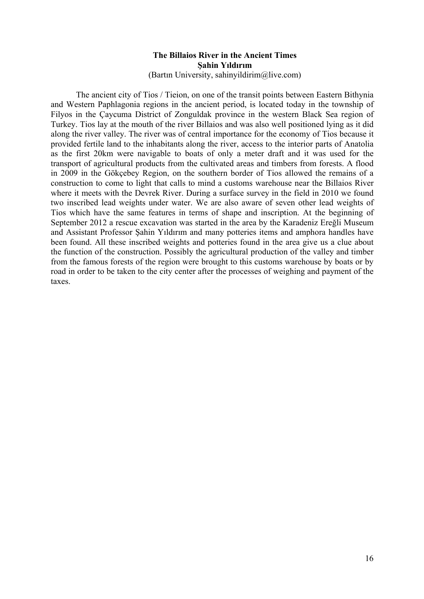# **The Billaios River in the Ancient Times Şahin Yıldırım**

(Bartın University, sahinyildirim@live.com)

The ancient city of Tios / Tieion, on one of the transit points between Eastern Bithynia and Western Paphlagonia regions in the ancient period, is located today in the township of Filyos in the Çaycuma District of Zonguldak province in the western Black Sea region of Turkey. Tios lay at the mouth of the river Billaios and was also well positioned lying as it did along the river valley. The river was of central importance for the economy of Tios because it provided fertile land to the inhabitants along the river, access to the interior parts of Anatolia as the first 20km were navigable to boats of only a meter draft and it was used for the transport of agricultural products from the cultivated areas and timbers from forests. A flood in 2009 in the Gökçebey Region, on the southern border of Tios allowed the remains of a construction to come to light that calls to mind a customs warehouse near the Billaios River where it meets with the Devrek River. During a surface survey in the field in 2010 we found two inscribed lead weights under water. We are also aware of seven other lead weights of Tios which have the same features in terms of shape and inscription. At the beginning of September 2012 a rescue excavation was started in the area by the Karadeniz Ereğli Museum and Assistant Professor Şahin Yıldırım and many potteries items and amphora handles have been found. All these inscribed weights and potteries found in the area give us a clue about the function of the construction. Possibly the agricultural production of the valley and timber from the famous forests of the region were brought to this customs warehouse by boats or by road in order to be taken to the city center after the processes of weighing and payment of the taxes.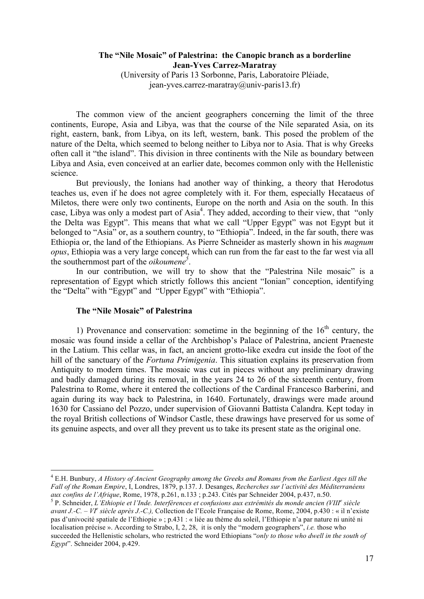# **The "Nile Mosaic" of Palestrina: the Canopic branch as a borderline Jean-Yves Carrez-Maratray**

(University of Paris 13 Sorbonne, Paris, Laboratoire Pléiade, jean-yves.carrez-maratray@univ-paris13.fr)

The common view of the ancient geographers concerning the limit of the three continents, Europe, Asia and Libya, was that the course of the Nile separated Asia, on its right, eastern, bank, from Libya, on its left, western, bank. This posed the problem of the nature of the Delta, which seemed to belong neither to Libya nor to Asia. That is why Greeks often call it "the island". This division in three continents with the Nile as boundary between Libya and Asia, even conceived at an earlier date, becomes common only with the Hellenistic science.

But previously, the Ionians had another way of thinking, a theory that Herodotus teaches us, even if he does not agree completely with it. For them, especially Hecataeus of Miletos, there were only two continents, Europe on the north and Asia on the south. In this case, Libya was only a modest part of  $Asia<sup>4</sup>$ . They added, according to their view, that "only the Delta was Egypt". This means that what we call "Upper Egypt" was not Egypt but it belonged to "Asia" or, as a southern country, to "Ethiopia". Indeed, in the far south, there was Ethiopia or, the land of the Ethiopians. As Pierre Schneider as masterly shown in his *magnum opus*, Ethiopia was a very large concept, which can run from the far east to the far west via all the southernmost part of the *oikoumene*<sup>5</sup>.

In our contribution, we will try to show that the "Palestrina Nile mosaic" is a representation of Egypt which strictly follows this ancient "Ionian" conception, identifying the "Delta" with "Egypt" and "Upper Egypt" with "Ethiopia".

#### **The "Nile Mosaic" of Palestrina**

1) Provenance and conservation: sometime in the beginning of the  $16<sup>th</sup>$  century, the mosaic was found inside a cellar of the Archbishop's Palace of Palestrina, ancient Praeneste in the Latium. This cellar was, in fact, an ancient grotto-like exedra cut inside the foot of the hill of the sanctuary of the *Fortuna Primigenia*. This situation explains its preservation from Antiquity to modern times. The mosaic was cut in pieces without any preliminary drawing and badly damaged during its removal, in the years 24 to 26 of the sixteenth century, from Palestrina to Rome, where it entered the collections of the Cardinal Francesco Barberini, and again during its way back to Palestrina, in 1640. Fortunately, drawings were made around 1630 for Cassiano del Pozzo, under supervision of Giovanni Battista Calandra. Kept today in the royal British collections of Windsor Castle, these drawings have preserved for us some of its genuine aspects, and over all they prevent us to take its present state as the original one.

 <sup>4</sup> E.H. Bunbury, *A History of Ancient Geography among the Greeks and Romans from the Earliest Ages till the Fall of the Roman Empire*, I, Londres, 1879, p.137. J. Desanges, *Recherches sur l'activité des Méditerranéens* 

<sup>&</sup>lt;sup>5</sup> P. Schneider, L'Ethiopie et l'Inde. Interférences et confusions aux extrémités du monde ancien (VIII<sup>e</sup> siècle *avant J.-C. – VI<sup>e</sup> siècle après J.-C.),* Collection de l'Ecole Française de Rome, Rome, 2004, p.430 : « il n'existe pas d'univocité spatiale de l'Ethiopie » ; p.431 : « liée au thème du soleil, l'Ethiopie n'a par nature ni unité ni localisation précise ». According to Strabo, I, 2, 28, it is only the "modern geographers", *i.e.* those who succeeded the Hellenistic scholars, who restricted the word Ethiopians "*only to those who dwell in the south of Egypt*". Schneider 2004, p.429.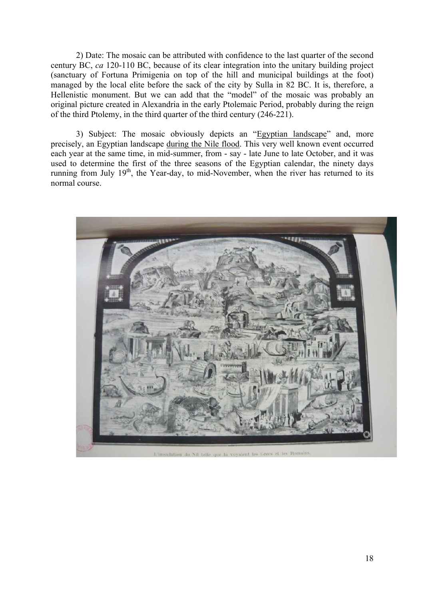2) Date: The mosaic can be attributed with confidence to the last quarter of the second century BC, *ca* 120-110 BC, because of its clear integration into the unitary building project (sanctuary of Fortuna Primigenia on top of the hill and municipal buildings at the foot) managed by the local elite before the sack of the city by Sulla in 82 BC. It is, therefore, a Hellenistic monument. But we can add that the "model" of the mosaic was probably an original picture created in Alexandria in the early Ptolemaic Period, probably during the reign of the third Ptolemy, in the third quarter of the third century (246-221).

3) Subject: The mosaic obviously depicts an "Egyptian landscape" and, more precisely, an Egyptian landscape during the Nile flood. This very well known event occurred each year at the same time, in mid-summer, from - say - late June to late October, and it was used to determine the first of the three seasons of the Egyptian calendar, the ninety days running from July  $19<sup>th</sup>$ , the Year-day, to mid-November, when the river has returned to its normal course.

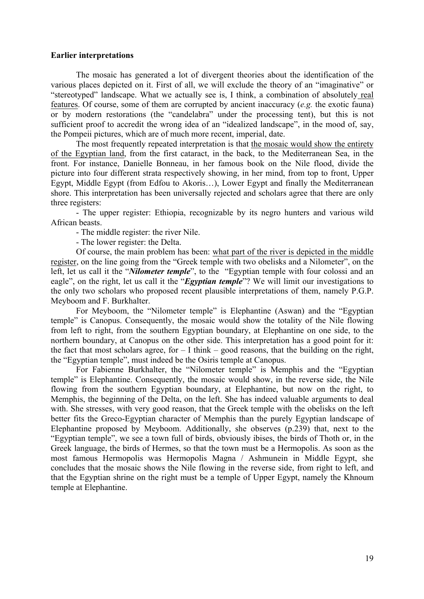#### **Earlier interpretations**

The mosaic has generated a lot of divergent theories about the identification of the various places depicted on it. First of all, we will exclude the theory of an "imaginative" or "stereotyped" landscape. What we actually see is, I think, a combination of absolutely real features. Of course, some of them are corrupted by ancient inaccuracy (*e.g.* the exotic fauna) or by modern restorations (the "candelabra" under the processing tent), but this is not sufficient proof to accredit the wrong idea of an "idealized landscape", in the mood of, say, the Pompeii pictures, which are of much more recent, imperial, date.

The most frequently repeated interpretation is that the mosaic would show the entirety of the Egyptian land, from the first cataract, in the back, to the Mediterranean Sea, in the front. For instance, Danielle Bonneau, in her famous book on the Nile flood, divide the picture into four different strata respectively showing, in her mind, from top to front, Upper Egypt, Middle Egypt (from Edfou to Akoris…), Lower Egypt and finally the Mediterranean shore. This interpretation has been universally rejected and scholars agree that there are only three registers:

- The upper register: Ethiopia, recognizable by its negro hunters and various wild African beasts.

- The middle register: the river Nile.

- The lower register: the Delta.

Of course, the main problem has been: what part of the river is depicted in the middle register, on the line going from the "Greek temple with two obelisks and a Nilometer", on the left, let us call it the "*Nilometer temple*", to the "Egyptian temple with four colossi and an eagle", on the right, let us call it the "*Egyptian temple*"? We will limit our investigations to the only two scholars who proposed recent plausible interpretations of them, namely P.G.P. Meyboom and F. Burkhalter.

For Meyboom, the "Nilometer temple" is Elephantine (Aswan) and the "Egyptian temple" is Canopus. Consequently, the mosaic would show the totality of the Nile flowing from left to right, from the southern Egyptian boundary, at Elephantine on one side, to the northern boundary, at Canopus on the other side. This interpretation has a good point for it: the fact that most scholars agree, for  $-1$  think – good reasons, that the building on the right, the "Egyptian temple", must indeed be the Osiris temple at Canopus.

For Fabienne Burkhalter, the "Nilometer temple" is Memphis and the "Egyptian temple" is Elephantine. Consequently, the mosaic would show, in the reverse side, the Nile flowing from the southern Egyptian boundary, at Elephantine, but now on the right, to Memphis, the beginning of the Delta, on the left. She has indeed valuable arguments to deal with. She stresses, with very good reason, that the Greek temple with the obelisks on the left better fits the Greco-Egyptian character of Memphis than the purely Egyptian landscape of Elephantine proposed by Meyboom. Additionally, she observes (p.239) that, next to the "Egyptian temple", we see a town full of birds, obviously ibises, the birds of Thoth or, in the Greek language, the birds of Hermes, so that the town must be a Hermopolis. As soon as the most famous Hermopolis was Hermopolis Magna / Ashmunein in Middle Egypt, she concludes that the mosaic shows the Nile flowing in the reverse side, from right to left, and that the Egyptian shrine on the right must be a temple of Upper Egypt, namely the Khnoum temple at Elephantine.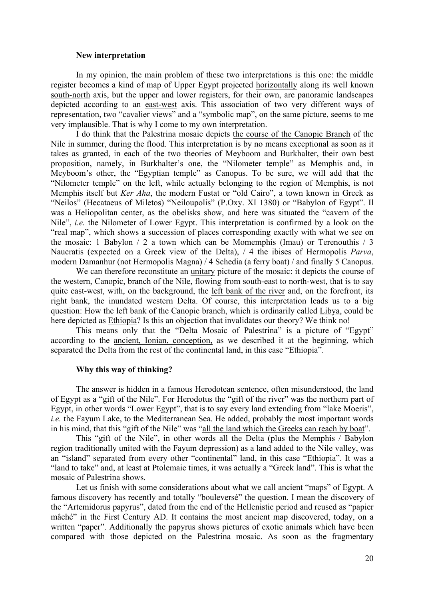#### **New interpretation**

In my opinion, the main problem of these two interpretations is this one: the middle register becomes a kind of map of Upper Egypt projected horizontally along its well known south-north axis, but the upper and lower registers, for their own, are panoramic landscapes depicted according to an east-west axis. This association of two very different ways of representation, two "cavalier views" and a "symbolic map", on the same picture, seems to me very implausible. That is why I come to my own interpretation.

I do think that the Palestrina mosaic depicts the course of the Canopic Branch of the Nile in summer, during the flood. This interpretation is by no means exceptional as soon as it takes as granted, in each of the two theories of Meyboom and Burkhalter, their own best proposition, namely, in Burkhalter's one, the "Nilometer temple" as Memphis and, in Meyboom's other, the "Egyptian temple" as Canopus. To be sure, we will add that the "Nilometer temple" on the left, while actually belonging to the region of Memphis, is not Memphis itself but *Ker Aha*, the modern Fustat or "old Cairo", a town known in Greek as "Neilos" (Hecataeus of Miletos) "Neiloupolis" (P.Oxy. XI 1380) or "Babylon of Egypt". Il was a Heliopolitan center, as the obelisks show, and here was situated the "cavern of the Nile", *i.e.* the Nilometer of Lower Egypt. This interpretation is confirmed by a look on the "real map", which shows a succession of places corresponding exactly with what we see on the mosaic: 1 Babylon / 2 a town which can be Momemphis (Imau) or Terenouthis / 3 Naucratis (expected on a Greek view of the Delta), / 4 the ibises of Hermopolis *Parva*, modern Damanhur (not Hermopolis Magna) / 4 Schedia (a ferry boat) / and finally 5 Canopus.

We can therefore reconstitute an unitary picture of the mosaic: it depicts the course of the western, Canopic, branch of the Nile, flowing from south-east to north-west, that is to say quite east-west, with, on the background, the left bank of the river and, on the forefront, its right bank, the inundated western Delta. Of course, this interpretation leads us to a big question: How the left bank of the Canopic branch, which is ordinarily called Libya, could be here depicted as Ethiopia? Is this an objection that invalidates our theory? We think no!

This means only that the "Delta Mosaic of Palestrina" is a picture of "Egypt" according to the ancient, Ionian, conception, as we described it at the beginning, which separated the Delta from the rest of the continental land, in this case "Ethiopia".

# **Why this way of thinking?**

The answer is hidden in a famous Herodotean sentence, often misunderstood, the land of Egypt as a "gift of the Nile". For Herodotus the "gift of the river" was the northern part of Egypt, in other words "Lower Egypt", that is to say every land extending from "lake Moeris", *i.e.* the Fayum Lake, to the Mediterranean Sea. He added, probably the most important words in his mind, that this "gift of the Nile" was "all the land which the Greeks can reach by boat".

This "gift of the Nile", in other words all the Delta (plus the Memphis / Babylon region traditionally united with the Fayum depression) as a land added to the Nile valley, was an "island" separated from every other "continental" land, in this case "Ethiopia". It was a "land to take" and, at least at Ptolemaic times, it was actually a "Greek land". This is what the mosaic of Palestrina shows.

Let us finish with some considerations about what we call ancient "maps" of Egypt. A famous discovery has recently and totally "bouleversé" the question. I mean the discovery of the "Artemidorus papyrus", dated from the end of the Hellenistic period and reused as "papier mâché" in the First Century AD. It contains the most ancient map discovered, today, on a written "paper". Additionally the papyrus shows pictures of exotic animals which have been compared with those depicted on the Palestrina mosaic. As soon as the fragmentary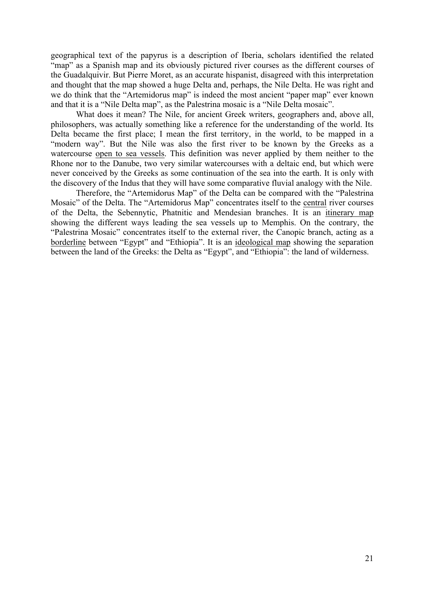geographical text of the papyrus is a description of Iberia, scholars identified the related "map" as a Spanish map and its obviously pictured river courses as the different courses of the Guadalquivir. But Pierre Moret, as an accurate hispanist, disagreed with this interpretation and thought that the map showed a huge Delta and, perhaps, the Nile Delta. He was right and we do think that the "Artemidorus map" is indeed the most ancient "paper map" ever known and that it is a "Nile Delta map", as the Palestrina mosaic is a "Nile Delta mosaic".

What does it mean? The Nile, for ancient Greek writers, geographers and, above all, philosophers, was actually something like a reference for the understanding of the world. Its Delta became the first place; I mean the first territory, in the world, to be mapped in a "modern way". But the Nile was also the first river to be known by the Greeks as a watercourse open to sea vessels. This definition was never applied by them neither to the Rhone nor to the Danube, two very similar watercourses with a deltaic end, but which were never conceived by the Greeks as some continuation of the sea into the earth. It is only with the discovery of the Indus that they will have some comparative fluvial analogy with the Nile.

Therefore, the "Artemidorus Map" of the Delta can be compared with the "Palestrina Mosaic" of the Delta. The "Artemidorus Map" concentrates itself to the central river courses of the Delta, the Sebennytic, Phatnitic and Mendesian branches. It is an itinerary map showing the different ways leading the sea vessels up to Memphis. On the contrary, the "Palestrina Mosaic" concentrates itself to the external river, the Canopic branch, acting as a borderline between "Egypt" and "Ethiopia". It is an ideological map showing the separation between the land of the Greeks: the Delta as "Egypt", and "Ethiopia": the land of wilderness.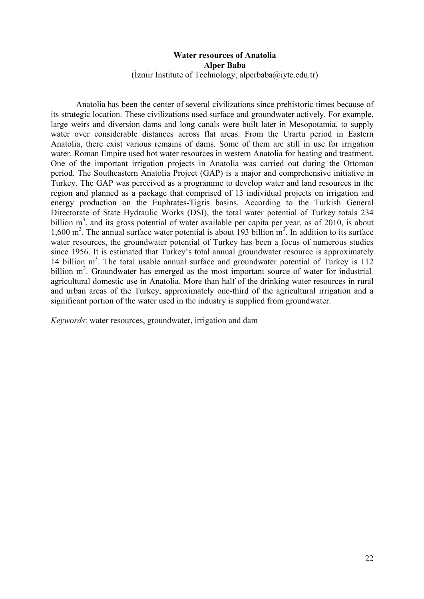# **Water resources of Anatolia Alper Baba**  $($ İzmir Institute of Technology, alperbaba $@i$ iyte.edu.tr)

Anatolia has been the center of several civilizations since prehistoric times because of its strategic location. These civilizations used surface and groundwater actively. For example, large weirs and diversion dams and long canals were built later in Mesopotamia, to supply water over considerable distances across flat areas. From the Urartu period in Eastern Anatolia, there exist various remains of dams. Some of them are still in use for irrigation water. Roman Empire used hot water resources in western Anatolia for heating and treatment. One of the important irrigation projects in Anatolia was carried out during the Ottoman period. The Southeastern Anatolia Project (GAP) is a major and comprehensive initiative in Turkey. The GAP was perceived as a programme to develop water and land resources in the region and planned as a package that comprised of 13 individual projects on irrigation and energy production on the Euphrates-Tigris basins. According to the Turkish General Directorate of State Hydraulic Works (DSI), the total water potential of Turkey totals 234 billion  $m<sup>3</sup>$ , and its gross potential of water available per capita per year, as of 2010, is about 1,600 m<sup>3</sup>. The annual surface water potential is about 193 billion m<sup>3</sup>. In addition to its surface water resources, the groundwater potential of Turkey has been a focus of numerous studies since 1956. It is estimated that Turkey's total annual groundwater resource is approximately 14 billion m<sup>3</sup>. The total usable annual surface and groundwater potential of Turkey is 112 billion m<sup>3</sup>. Groundwater has emerged as the most important source of water for industrial, agricultural domestic use in Anatolia. More than half of the drinking water resources in rural and urban areas of the Turkey, approximately one-third of the agricultural irrigation and a significant portion of the water used in the industry is supplied from groundwater.

*Keywords*: water resources, groundwater, irrigation and dam